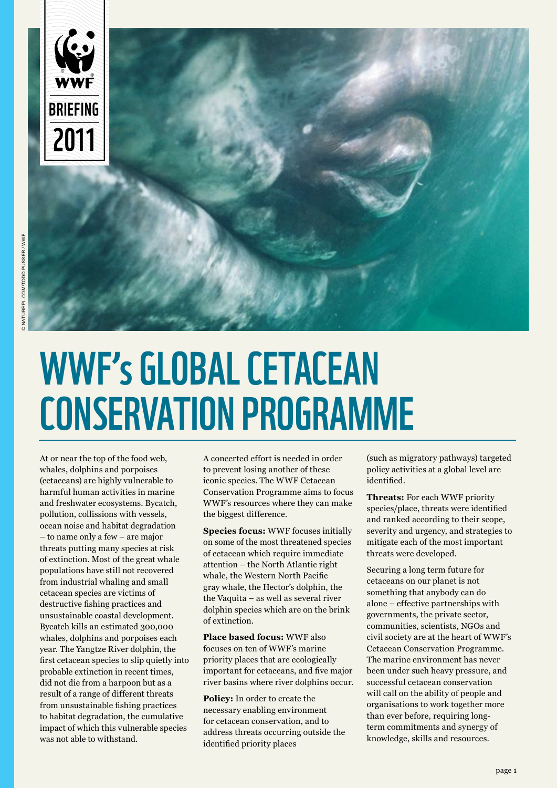

# WWF's GLOBAL CETACEAN conservation programme

At or near the top of the food web, whales, dolphins and porpoises (cetaceans) are highly vulnerable to harmful human activities in marine and freshwater ecosystems. Bycatch, pollution, collissions with vessels, ocean noise and habitat degradation – to name only a few – are major threats putting many species at risk of extinction. Most of the great whale populations have still not recovered from industrial whaling and small cetacean species are victims of destructive fishing practices and unsustainable coastal development. Bycatch kills an estimated 300,000 whales, dolphins and porpoises each year. The Yangtze River dolphin, the first cetacean species to slip quietly into probable extinction in recent times, did not die from a harpoon but as a result of a range of different threats from unsustainable fishing practices to habitat degradation, the cumulative impact of which this vulnerable species was not able to withstand.

A concerted effort is needed in order to prevent losing another of these iconic species. The WWF Cetacean Conservation Programme aims to focus WWF's resources where they can make the biggest difference.

**Species focus:** WWF focuses initially on some of the most threatened species of cetacean which require immediate attention – the North Atlantic right whale, the Western North Pacific gray whale, the Hector's dolphin, the the Vaquita – as well as several river dolphin species which are on the brink of extinction.

**Place based focus:** WWF also focuses on ten of WWF's marine priority places that are ecologically important for cetaceans, and five major river basins where river dolphins occur.

**Policy:** In order to create the necessary enabling environment for cetacean conservation, and to address threats occurring outside the identified priority places

(such as migratory pathways) targeted policy activities at a global level are identified.

**Threats:** For each WWF priority species/place, threats were identified and ranked according to their scope, severity and urgency, and strategies to mitigate each of the most important threats were developed.

Securing a long term future for cetaceans on our planet is not something that anybody can do alone – effective partnerships with governments, the private sector, communities, scientists, NGOs and civil society are at the heart of WWF's Cetacean Conservation Programme. The marine environment has never been under such heavy pressure, and successful cetacean conservation will call on the ability of people and organisations to work together more than ever before, requiring longterm commitments and synergy of knowledge, skills and resources.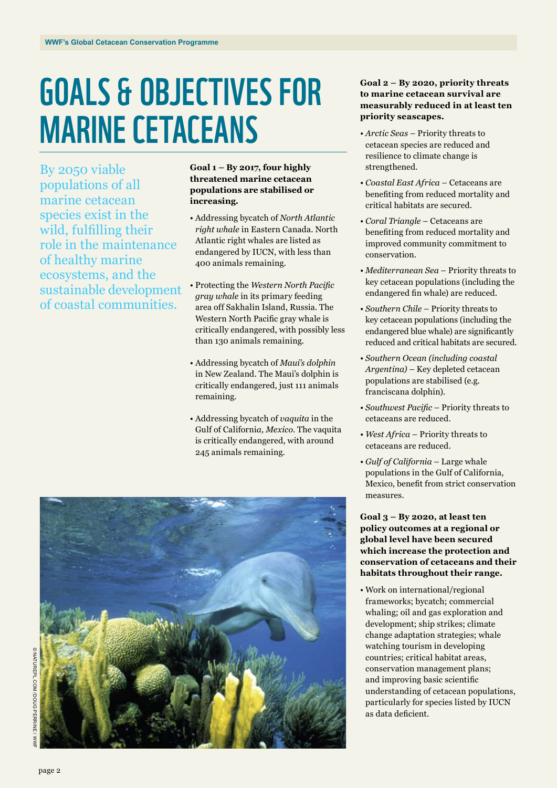# Goals & Objectives for Marine Cetaceans

By 2050 viable populations of all marine cetacean species exist in the wild, fulfilling their role in the maintenance of healthy marine ecosystems, and the sustainable development of coastal communities.

### **Goal 1 – By 2017, four highly threatened marine cetacean populations are stabilised or increasing.**

- Addressing bycatch of *North Atlantic right whale* in Eastern Canada. North Atlantic right whales are listed as endangered by IUCN, with less than 400 animals remaining.
- Protecting the *Western North Pacific gray whale* in its primary feeding area off Sakhalin Island, Russia. The Western North Pacific gray whale is critically endangered, with possibly less than 130 animals remaining.
- Addressing bycatch of *Maui's dolphin* in New Zealand. The Maui's dolphin is critically endangered, just 111 animals remaining.
- Addressing bycatch of *vaquita* in the Gulf of Californi*a, Mexico.* The vaquita is critically endangered, with around 245 animals remaining.



### **Goal 2 – By 2020, priority threats to marine cetacean survival are measurably reduced in at least ten priority seascapes.**

- *• Arctic Seas* Priority threats to cetacean species are reduced and resilience to climate change is strengthened.
- *• Coastal East Africa* Cetaceans are benefiting from reduced mortality and critical habitats are secured.
- *• Coral Triangle* Cetaceans are benefiting from reduced mortality and improved community commitment to conservation.
- *• Mediterranean Sea* Priority threats to key cetacean populations (including the endangered fin whale) are reduced.
- *• Southern Chile* Priority threats to key cetacean populations (including the endangered blue whale) are significantly reduced and critical habitats are secured.
- *• Southern Ocean (including coastal Argentina)* – Key depleted cetacean populations are stabilised (e.g. franciscana dolphin).
- *• Southwest Pacific* Priority threats to cetaceans are reduced.
- *• West Africa* Priority threats to cetaceans are reduced.
- *• Gulf of California* Large whale populations in the Gulf of California, Mexico, benefit from strict conservation measures.

**Goal 3 – By 2020, at least ten policy outcomes at a regional or global level have been secured which increase the protection and conservation of cetaceans and their habitats throughout their range.**

• Work on international/regional frameworks; bycatch; commercial whaling; oil and gas exploration and development; ship strikes; climate change adaptation strategies; whale watching tourism in developing countries; critical habitat areas, conservation management plans; and improving basic scientific understanding of cetacean populations, particularly for species listed by IUCN as data deficient.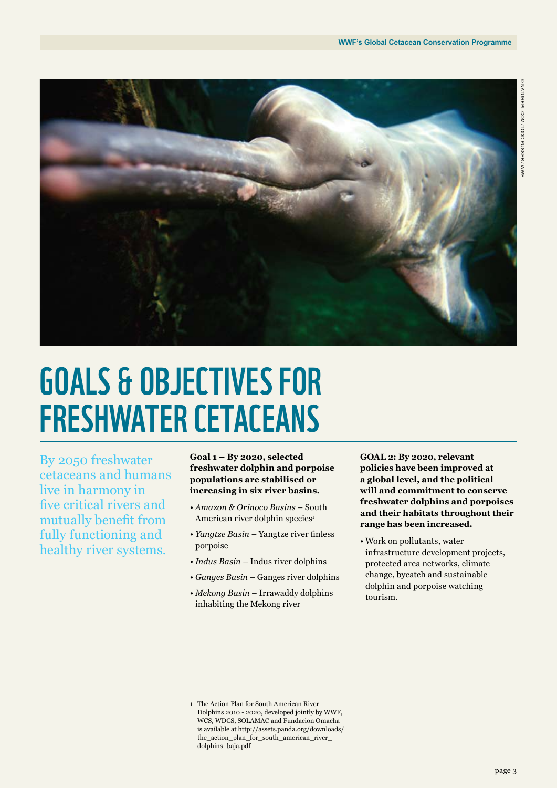

# Goals & Objectives for Freshwater Cetaceans

By 2050 freshwater cetaceans and humans live in harmony in five critical rivers and mutually benefit from fully functioning and healthy river systems.

**Goal 1 – By 2020, selected freshwater dolphin and porpoise populations are stabilised or increasing in six river basins.**

- *• Amazon & Orinoco Basins*  South American river dolphin species<sup>1</sup>
- *• Yangtze Basin* Yangtze river finless porpoise
- *• Indus Basin* Indus river dolphins
- *• Ganges Basin* Ganges river dolphins
- *Mekong Basin* Irrawaddy dolphins inhabiting the Mekong river

**GOAL 2: By 2020, relevant policies have been improved at a global level, and the political will and commitment to conserve freshwater dolphins and porpoises and their habitats throughout their range has been increased.**

• Work on pollutants, water infrastructure development projects, protected area networks, climate change, bycatch and sustainable dolphin and porpoise watching tourism.

<sup>1</sup> The Action Plan for South American River Dolphins 2010 - 2020, developed jointly by WWF, WCS, WDCS, SOLAMAC and Fundacion Omacha is available at http://assets.panda.org/downloads/ the\_action\_plan\_for\_south\_american\_river\_ dolphins\_baja.pdf